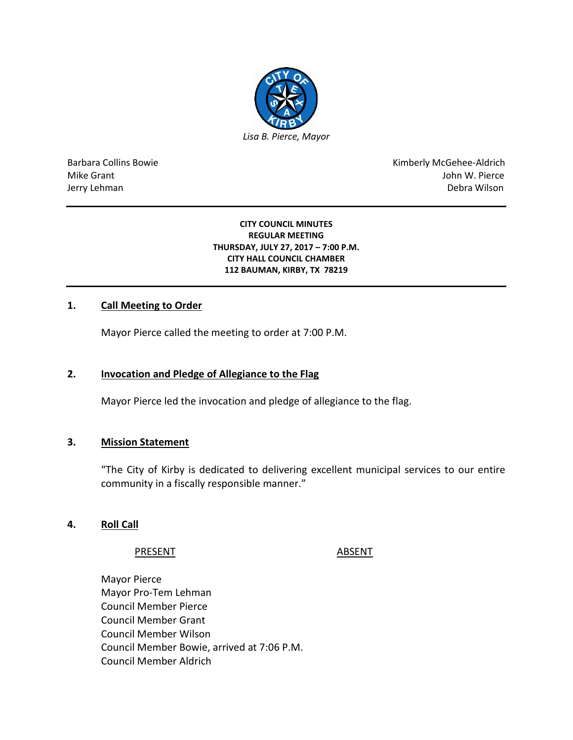

Barbara Collins Bowie **Kimberly McGehee-Aldrich** Mike Grant John W. Pierce Jerry Lehman Debra Wilson (2008) and the state of the state of the state of the state of the state of the state of the state of the state of the state of the state of the state of the state of the state of the state of the

#### **CITY COUNCIL MINUTES REGULAR MEETING THURSDAY, JULY 27, 2017 – 7:00 P.M. CITY HALL COUNCIL CHAMBER 112 BAUMAN, KIRBY, TX 78219**

# **1. Call Meeting to Order**

Mayor Pierce called the meeting to order at 7:00 P.M.

## **2. Invocation and Pledge of Allegiance to the Flag**

Mayor Pierce led the invocation and pledge of allegiance to the flag.

## **3. Mission Statement**

"The City of Kirby is dedicated to delivering excellent municipal services to our entire community in a fiscally responsible manner."

# **4. Roll Call**

#### PRESENT ABSENT

Mayor Pierce Mayor Pro-Tem Lehman Council Member Pierce Council Member Grant Council Member Wilson Council Member Bowie, arrived at 7:06 P.M. Council Member Aldrich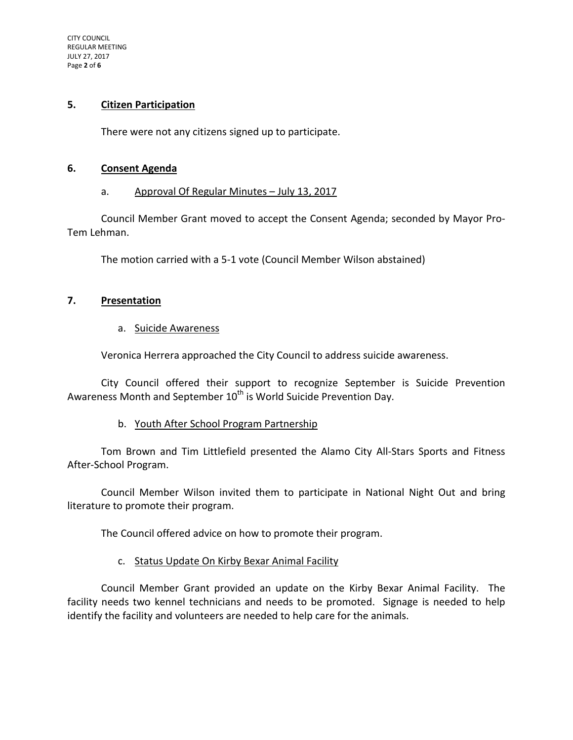#### **5. Citizen Participation**

There were not any citizens signed up to participate.

#### **6. Consent Agenda**

#### a. Approval Of Regular Minutes – July 13, 2017

Council Member Grant moved to accept the Consent Agenda; seconded by Mayor Pro-Tem Lehman.

The motion carried with a 5-1 vote (Council Member Wilson abstained)

## **7. Presentation**

## a. Suicide Awareness

Veronica Herrera approached the City Council to address suicide awareness.

City Council offered their support to recognize September is Suicide Prevention Awareness Month and September  $10^{th}$  is World Suicide Prevention Day.

## b. Youth After School Program Partnership

Tom Brown and Tim Littlefield presented the Alamo City All-Stars Sports and Fitness After-School Program.

Council Member Wilson invited them to participate in National Night Out and bring literature to promote their program.

The Council offered advice on how to promote their program.

## c. Status Update On Kirby Bexar Animal Facility

Council Member Grant provided an update on the Kirby Bexar Animal Facility. The facility needs two kennel technicians and needs to be promoted. Signage is needed to help identify the facility and volunteers are needed to help care for the animals.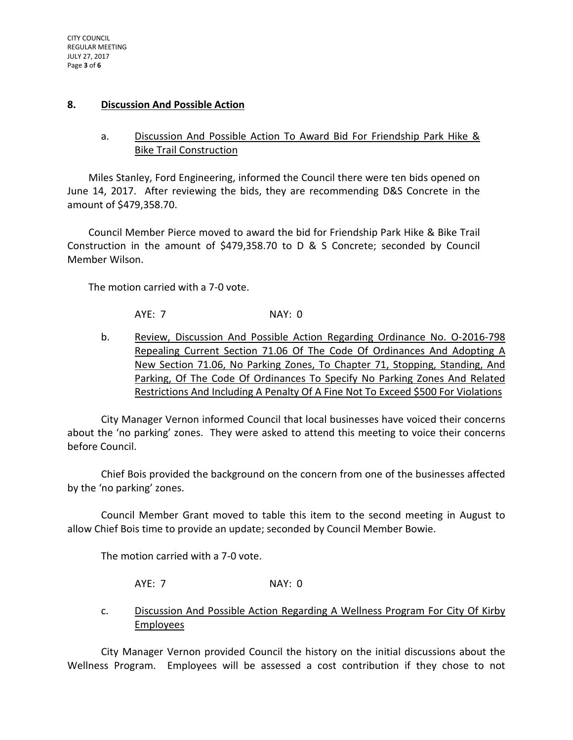#### **8. Discussion And Possible Action**

# a. Discussion And Possible Action To Award Bid For Friendship Park Hike & Bike Trail Construction

Miles Stanley, Ford Engineering, informed the Council there were ten bids opened on June 14, 2017. After reviewing the bids, they are recommending D&S Concrete in the amount of \$479,358.70.

Council Member Pierce moved to award the bid for Friendship Park Hike & Bike Trail Construction in the amount of \$479,358.70 to D & S Concrete; seconded by Council Member Wilson.

The motion carried with a 7-0 vote.

AYE: 7 NAY: 0

b. Review, Discussion And Possible Action Regarding Ordinance No. O-2016-798 Repealing Current Section 71.06 Of The Code Of Ordinances And Adopting A New Section 71.06, No Parking Zones, To Chapter 71, Stopping, Standing, And Parking, Of The Code Of Ordinances To Specify No Parking Zones And Related Restrictions And Including A Penalty Of A Fine Not To Exceed \$500 For Violations

City Manager Vernon informed Council that local businesses have voiced their concerns about the 'no parking' zones. They were asked to attend this meeting to voice their concerns before Council.

Chief Bois provided the background on the concern from one of the businesses affected by the 'no parking' zones.

Council Member Grant moved to table this item to the second meeting in August to allow Chief Bois time to provide an update; seconded by Council Member Bowie.

The motion carried with a 7-0 vote.

AYE: 7 NAY: 0

c. Discussion And Possible Action Regarding A Wellness Program For City Of Kirby Employees

City Manager Vernon provided Council the history on the initial discussions about the Wellness Program. Employees will be assessed a cost contribution if they chose to not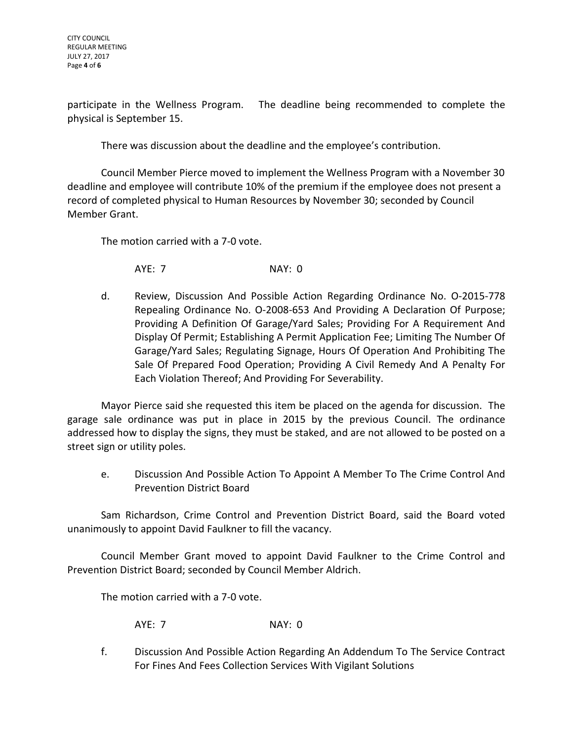participate in the Wellness Program. The deadline being recommended to complete the physical is September 15.

There was discussion about the deadline and the employee's contribution.

Council Member Pierce moved to implement the Wellness Program with a November 30 deadline and employee will contribute 10% of the premium if the employee does not present a record of completed physical to Human Resources by November 30; seconded by Council Member Grant.

The motion carried with a 7-0 vote.

AYE: 7 NAY: 0

d. Review, Discussion And Possible Action Regarding Ordinance No. O-2015-778 Repealing Ordinance No. O-2008-653 And Providing A Declaration Of Purpose; Providing A Definition Of Garage/Yard Sales; Providing For A Requirement And Display Of Permit; Establishing A Permit Application Fee; Limiting The Number Of Garage/Yard Sales; Regulating Signage, Hours Of Operation And Prohibiting The Sale Of Prepared Food Operation; Providing A Civil Remedy And A Penalty For Each Violation Thereof; And Providing For Severability.

Mayor Pierce said she requested this item be placed on the agenda for discussion. The garage sale ordinance was put in place in 2015 by the previous Council. The ordinance addressed how to display the signs, they must be staked, and are not allowed to be posted on a street sign or utility poles.

e. Discussion And Possible Action To Appoint A Member To The Crime Control And Prevention District Board

Sam Richardson, Crime Control and Prevention District Board, said the Board voted unanimously to appoint David Faulkner to fill the vacancy.

Council Member Grant moved to appoint David Faulkner to the Crime Control and Prevention District Board; seconded by Council Member Aldrich.

The motion carried with a 7-0 vote.

AYE: 7 NAY: 0

f. Discussion And Possible Action Regarding An Addendum To The Service Contract For Fines And Fees Collection Services With Vigilant Solutions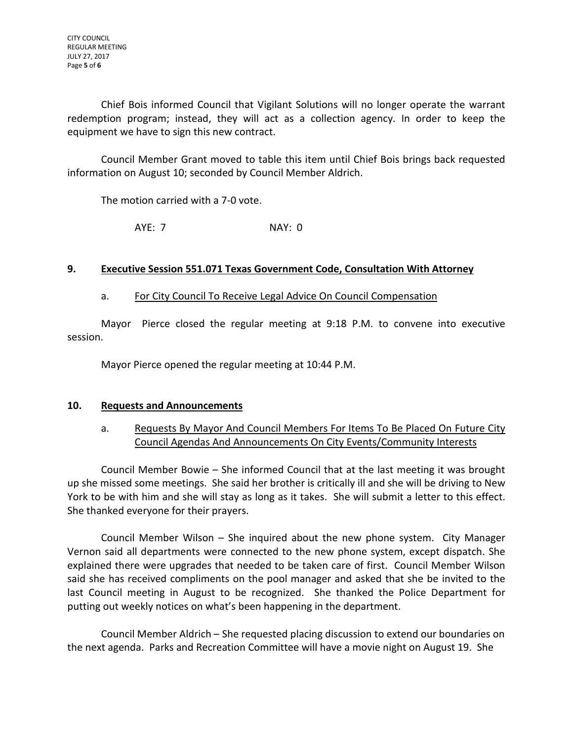Chief Bois informed Council that Vigilant Solutions will no longer operate the warrant redemption program; instead, they will act as a collection agency. In order to keep the equipment we have to sign this new contract.

Council Member Grant moved to table this item until Chief Bois brings back requested information on August 10; seconded by Council Member Aldrich.

The motion carried with a 7-0 vote.

AYE: 7 NAY: 0

## **9. Executive Session 551.071 Texas Government Code, Consultation With Attorney**

## a. For City Council To Receive Legal Advice On Council Compensation

Mayor Pierce closed the regular meeting at 9:18 P.M. to convene into executive session.

Mayor Pierce opened the regular meeting at 10:44 P.M.

## **10. Requests and Announcements**

# a. Requests By Mayor And Council Members For Items To Be Placed On Future City Council Agendas And Announcements On City Events/Community Interests

Council Member Bowie – She informed Council that at the last meeting it was brought up she missed some meetings. She said her brother is critically ill and she will be driving to New York to be with him and she will stay as long as it takes. She will submit a letter to this effect. She thanked everyone for their prayers.

Council Member Wilson – She inquired about the new phone system. City Manager Vernon said all departments were connected to the new phone system, except dispatch. She explained there were upgrades that needed to be taken care of first. Council Member Wilson said she has received compliments on the pool manager and asked that she be invited to the last Council meeting in August to be recognized. She thanked the Police Department for putting out weekly notices on what's been happening in the department.

Council Member Aldrich – She requested placing discussion to extend our boundaries on the next agenda. Parks and Recreation Committee will have a movie night on August 19. She